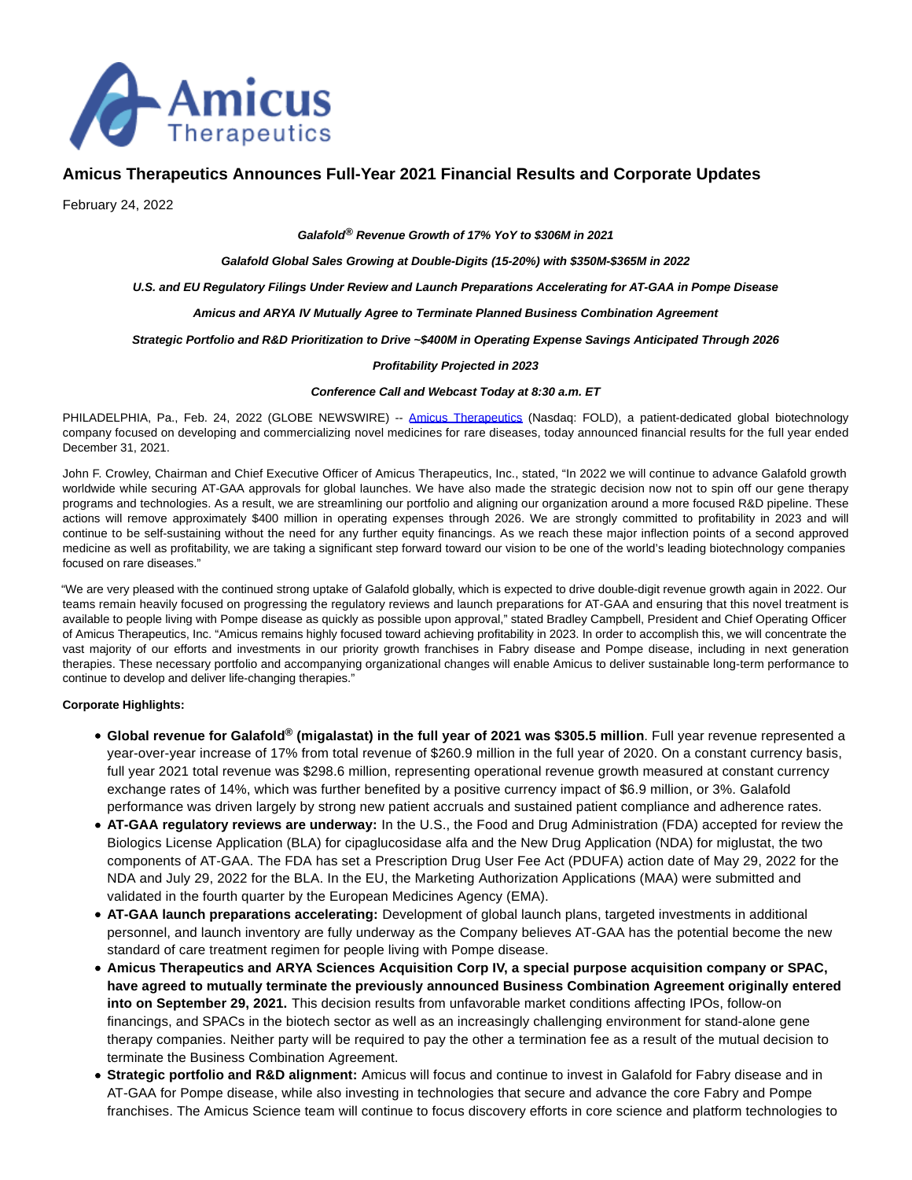

# **Amicus Therapeutics Announces Full-Year 2021 Financial Results and Corporate Updates**

February 24, 2022

### **Galafold® Revenue Growth of 17% YoY to \$306M in 2021**

### **Galafold Global Sales Growing at Double-Digits (15-20%) with \$350M-\$365M in 2022**

### **U.S. and EU Regulatory Filings Under Review and Launch Preparations Accelerating for AT-GAA in Pompe Disease**

# **Amicus and ARYA IV Mutually Agree to Terminate Planned Business Combination Agreement**

### **Strategic Portfolio and R&D Prioritization to Drive ~\$400M in Operating Expense Savings Anticipated Through 2026**

### **Profitability Projected in 2023**

# **Conference Call and Webcast Today at 8:30 a.m. ET**

PHILADELPHIA, Pa., Feb. 24, 2022 (GLOBE NEWSWIRE) -- [Amicus Therapeutics](https://www.globenewswire.com/Tracker?data=ipSQa6ACUMOBSlywDvob-JgsxaBRkRphiwq6sdTGP0By2GNZiG1gd72W5gFzY87eyILwEvCThpFlZeigVLAWeSRIdW8tnf2Anhn4j5V5tpk=) (Nasdaq: FOLD), a patient-dedicated global biotechnology company focused on developing and commercializing novel medicines for rare diseases, today announced financial results for the full year ended December 31, 2021.

John F. Crowley, Chairman and Chief Executive Officer of Amicus Therapeutics, Inc., stated, "In 2022 we will continue to advance Galafold growth worldwide while securing AT-GAA approvals for global launches. We have also made the strategic decision now not to spin off our gene therapy programs and technologies. As a result, we are streamlining our portfolio and aligning our organization around a more focused R&D pipeline. These actions will remove approximately \$400 million in operating expenses through 2026. We are strongly committed to profitability in 2023 and will continue to be self-sustaining without the need for any further equity financings. As we reach these major inflection points of a second approved medicine as well as profitability, we are taking a significant step forward toward our vision to be one of the world's leading biotechnology companies focused on rare diseases."

"We are very pleased with the continued strong uptake of Galafold globally, which is expected to drive double-digit revenue growth again in 2022. Our teams remain heavily focused on progressing the regulatory reviews and launch preparations for AT-GAA and ensuring that this novel treatment is available to people living with Pompe disease as quickly as possible upon approval," stated Bradley Campbell, President and Chief Operating Officer of Amicus Therapeutics, Inc. "Amicus remains highly focused toward achieving profitability in 2023. In order to accomplish this, we will concentrate the vast majority of our efforts and investments in our priority growth franchises in Fabry disease and Pompe disease, including in next generation therapies. These necessary portfolio and accompanying organizational changes will enable Amicus to deliver sustainable long-term performance to continue to develop and deliver life-changing therapies."

# **Corporate Highlights:**

- **Global revenue for Galafold® (migalastat) in the full year of 2021 was \$305.5 million**. Full year revenue represented a year-over-year increase of 17% from total revenue of \$260.9 million in the full year of 2020. On a constant currency basis, full year 2021 total revenue was \$298.6 million, representing operational revenue growth measured at constant currency exchange rates of 14%, which was further benefited by a positive currency impact of \$6.9 million, or 3%. Galafold performance was driven largely by strong new patient accruals and sustained patient compliance and adherence rates.
- **AT-GAA regulatory reviews are underway:** In the U.S., the Food and Drug Administration (FDA) accepted for review the Biologics License Application (BLA) for cipaglucosidase alfa and the New Drug Application (NDA) for miglustat, the two components of AT-GAA. The FDA has set a Prescription Drug User Fee Act (PDUFA) action date of May 29, 2022 for the NDA and July 29, 2022 for the BLA. In the EU, the Marketing Authorization Applications (MAA) were submitted and validated in the fourth quarter by the European Medicines Agency (EMA).
- **AT-GAA launch preparations accelerating:** Development of global launch plans, targeted investments in additional personnel, and launch inventory are fully underway as the Company believes AT-GAA has the potential become the new standard of care treatment regimen for people living with Pompe disease.
- **Amicus Therapeutics and ARYA Sciences Acquisition Corp IV, a special purpose acquisition company or SPAC, have agreed to mutually terminate the previously announced Business Combination Agreement originally entered into on September 29, 2021.** This decision results from unfavorable market conditions affecting IPOs, follow-on financings, and SPACs in the biotech sector as well as an increasingly challenging environment for stand-alone gene therapy companies. Neither party will be required to pay the other a termination fee as a result of the mutual decision to terminate the Business Combination Agreement.
- **Strategic portfolio and R&D alignment:** Amicus will focus and continue to invest in Galafold for Fabry disease and in AT-GAA for Pompe disease, while also investing in technologies that secure and advance the core Fabry and Pompe franchises. The Amicus Science team will continue to focus discovery efforts in core science and platform technologies to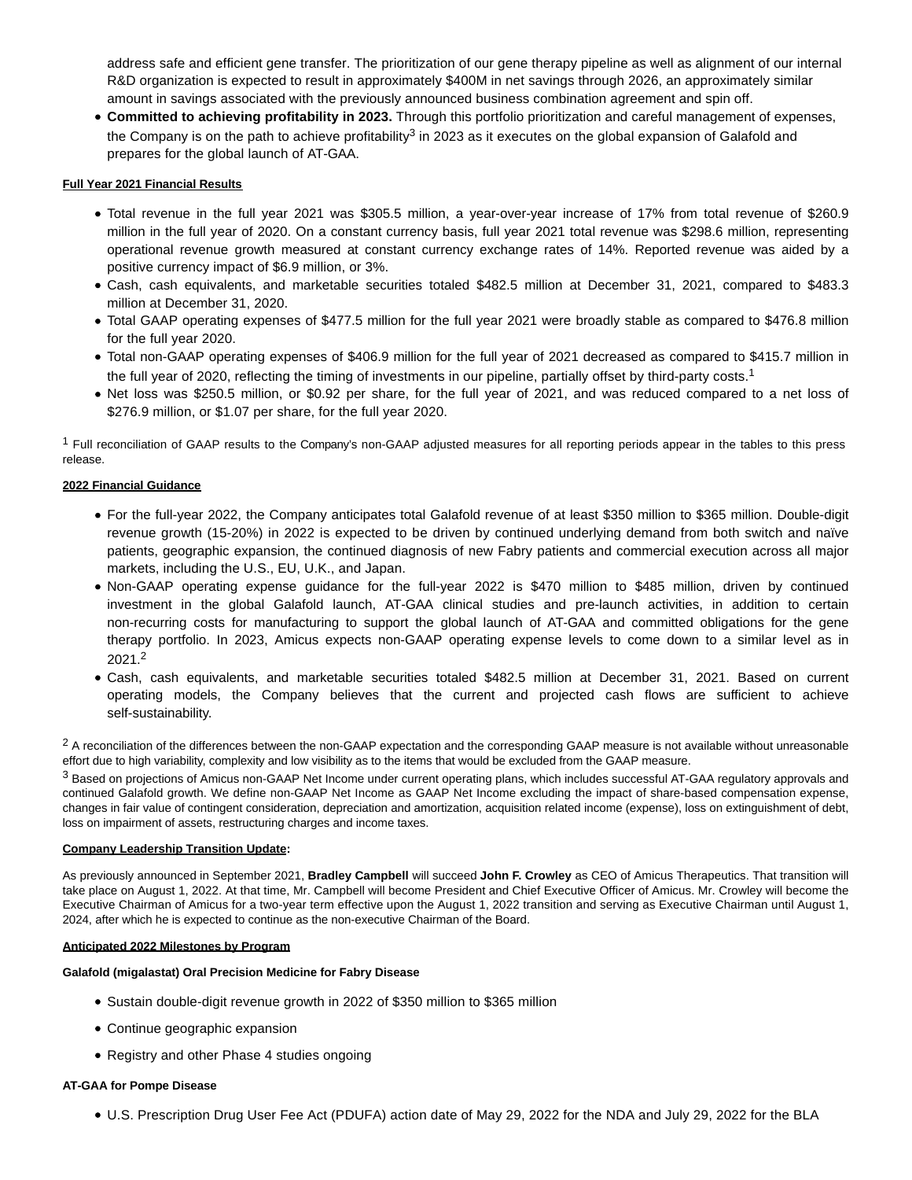address safe and efficient gene transfer. The prioritization of our gene therapy pipeline as well as alignment of our internal R&D organization is expected to result in approximately \$400M in net savings through 2026, an approximately similar amount in savings associated with the previously announced business combination agreement and spin off.

**Committed to achieving profitability in 2023.** Through this portfolio prioritization and careful management of expenses, the Company is on the path to achieve profitability<sup>3</sup> in 2023 as it executes on the global expansion of Galafold and prepares for the global launch of AT-GAA.

# **Full Year 2021 Financial Results**

- Total revenue in the full year 2021 was \$305.5 million, a year-over-year increase of 17% from total revenue of \$260.9 million in the full year of 2020. On a constant currency basis, full year 2021 total revenue was \$298.6 million, representing operational revenue growth measured at constant currency exchange rates of 14%. Reported revenue was aided by a positive currency impact of \$6.9 million, or 3%.
- Cash, cash equivalents, and marketable securities totaled \$482.5 million at December 31, 2021, compared to \$483.3 million at December 31, 2020.
- Total GAAP operating expenses of \$477.5 million for the full year 2021 were broadly stable as compared to \$476.8 million for the full year 2020.
- Total non-GAAP operating expenses of \$406.9 million for the full year of 2021 decreased as compared to \$415.7 million in the full year of 2020, reflecting the timing of investments in our pipeline, partially offset by third-party costs.<sup>1</sup>
- Net loss was \$250.5 million, or \$0.92 per share, for the full year of 2021, and was reduced compared to a net loss of \$276.9 million, or \$1.07 per share, for the full year 2020.

 $<sup>1</sup>$  Full reconciliation of GAAP results to the Company's non-GAAP adjusted measures for all reporting periods appear in the tables to this press</sup> release.

# **2022 Financial Guidance**

- For the full-year 2022, the Company anticipates total Galafold revenue of at least \$350 million to \$365 million. Double-digit revenue growth (15-20%) in 2022 is expected to be driven by continued underlying demand from both switch and naïve patients, geographic expansion, the continued diagnosis of new Fabry patients and commercial execution across all major markets, including the U.S., EU, U.K., and Japan.
- Non-GAAP operating expense guidance for the full-year 2022 is \$470 million to \$485 million, driven by continued investment in the global Galafold launch, AT-GAA clinical studies and pre-launch activities, in addition to certain non-recurring costs for manufacturing to support the global launch of AT-GAA and committed obligations for the gene therapy portfolio. In 2023, Amicus expects non-GAAP operating expense levels to come down to a similar level as in 2021.<sup>2</sup>
- Cash, cash equivalents, and marketable securities totaled \$482.5 million at December 31, 2021. Based on current operating models, the Company believes that the current and projected cash flows are sufficient to achieve self-sustainability.

<sup>2</sup> A reconciliation of the differences between the non-GAAP expectation and the corresponding GAAP measure is not available without unreasonable effort due to high variability, complexity and low visibility as to the items that would be excluded from the GAAP measure.

<sup>3</sup> Based on projections of Amicus non-GAAP Net Income under current operating plans, which includes successful AT-GAA regulatory approvals and continued Galafold growth. We define non-GAAP Net Income as GAAP Net Income excluding the impact of share-based compensation expense, changes in fair value of contingent consideration, depreciation and amortization, acquisition related income (expense), loss on extinguishment of debt, loss on impairment of assets, restructuring charges and income taxes.

# **Company Leadership Transition Update:**

As previously announced in September 2021, **Bradley Campbell** will succeed **John F. Crowley** as CEO of Amicus Therapeutics. That transition will take place on August 1, 2022. At that time, Mr. Campbell will become President and Chief Executive Officer of Amicus. Mr. Crowley will become the Executive Chairman of Amicus for a two-year term effective upon the August 1, 2022 transition and serving as Executive Chairman until August 1, 2024, after which he is expected to continue as the non-executive Chairman of the Board.

# **Anticipated 2022 Milestones by Program**

# **Galafold (migalastat) Oral Precision Medicine for Fabry Disease**

- Sustain double-digit revenue growth in 2022 of \$350 million to \$365 million
- Continue geographic expansion
- Registry and other Phase 4 studies ongoing

# **AT-GAA for Pompe Disease**

U.S. Prescription Drug User Fee Act (PDUFA) action date of May 29, 2022 for the NDA and July 29, 2022 for the BLA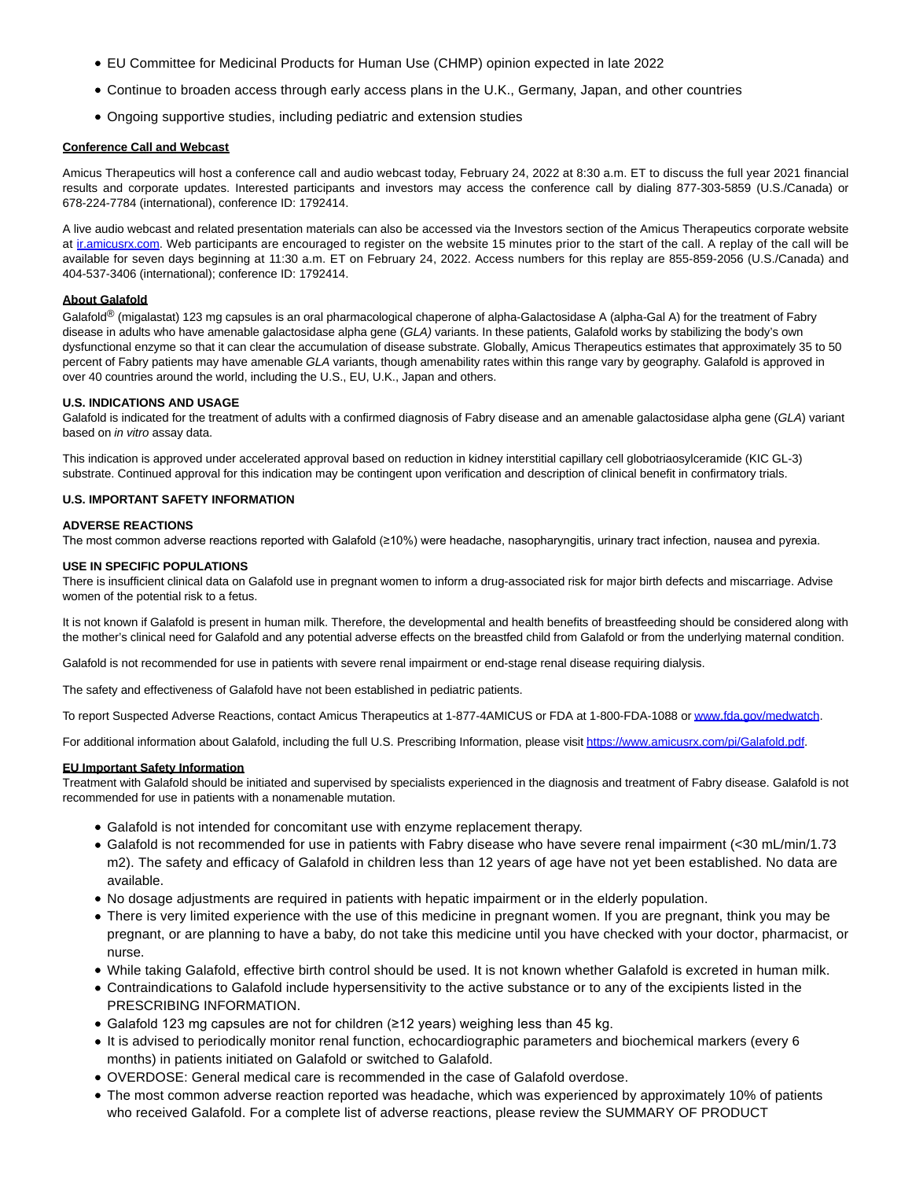- EU Committee for Medicinal Products for Human Use (CHMP) opinion expected in late 2022
- Continue to broaden access through early access plans in the U.K., Germany, Japan, and other countries
- Ongoing supportive studies, including pediatric and extension studies

# **Conference Call and Webcast**

Amicus Therapeutics will host a conference call and audio webcast today, February 24, 2022 at 8:30 a.m. ET to discuss the full year 2021 financial results and corporate updates. Interested participants and investors may access the conference call by dialing 877-303-5859 (U.S./Canada) or 678-224-7784 (international), conference ID: 1792414.

A live audio webcast and related presentation materials can also be accessed via the Investors section of the Amicus Therapeutics corporate website at in.amicusrx.com. Web participants are encouraged to register on the website 15 minutes prior to the start of the call. A replay of the call will be available for seven days beginning at 11:30 a.m. ET on February 24, 2022. Access numbers for this replay are 855-859-2056 (U.S./Canada) and 404-537-3406 (international); conference ID: 1792414.

# **About Galafold**

Galafold<sup>®</sup> (migalastat) 123 mg capsules is an oral pharmacological chaperone of alpha-Galactosidase A (alpha-Gal A) for the treatment of Fabry disease in adults who have amenable galactosidase alpha gene (GLA) variants. In these patients, Galafold works by stabilizing the body's own dysfunctional enzyme so that it can clear the accumulation of disease substrate. Globally, Amicus Therapeutics estimates that approximately 35 to 50 percent of Fabry patients may have amenable GLA variants, though amenability rates within this range vary by geography. Galafold is approved in over 40 countries around the world, including the U.S., EU, U.K., Japan and others.

### **U.S. INDICATIONS AND USAGE**

Galafold is indicated for the treatment of adults with a confirmed diagnosis of Fabry disease and an amenable galactosidase alpha gene (GLA) variant based on in vitro assay data.

This indication is approved under accelerated approval based on reduction in kidney interstitial capillary cell globotriaosylceramide (KIC GL-3) substrate. Continued approval for this indication may be contingent upon verification and description of clinical benefit in confirmatory trials.

# **U.S. IMPORTANT SAFETY INFORMATION**

#### **ADVERSE REACTIONS**

The most common adverse reactions reported with Galafold (≥10%) were headache, nasopharyngitis, urinary tract infection, nausea and pyrexia.

#### **USE IN SPECIFIC POPULATIONS**

There is insufficient clinical data on Galafold use in pregnant women to inform a drug-associated risk for major birth defects and miscarriage. Advise women of the potential risk to a fetus.

It is not known if Galafold is present in human milk. Therefore, the developmental and health benefits of breastfeeding should be considered along with the mother's clinical need for Galafold and any potential adverse effects on the breastfed child from Galafold or from the underlying maternal condition.

Galafold is not recommended for use in patients with severe renal impairment or end-stage renal disease requiring dialysis.

The safety and effectiveness of Galafold have not been established in pediatric patients.

To report Suspected Adverse Reactions, contact Amicus Therapeutics at 1-877-4AMICUS or FDA at 1-800-FDA-1088 o[r www.fda.gov/medwatch.](https://www.globenewswire.com/Tracker?data=0vfazI1zmnl_-twPqpgRg1dN12Pw0tIb9wwI2FwEd3XAJXWmjEyFJ2Qlph5GWEONZw3YtiABl3-SgArNA8ZzisJzT0F_qQN2Ph0-ITe6HdFjQl0UPe4NUSsCsthWl75u8d34aSSNYvi_XS78DkUycYShgw-qag38MZFGJsezwSl4232PMHvnxjCaMAT2g8QL)

For additional information about Galafold, including the full U.S. Prescribing Information, please visi[t https://www.amicusrx.com/pi/Galafold.pdf.](https://www.globenewswire.com/Tracker?data=2J_LlSzVcbP45mrJO--vHv2mPOw-DdYO7f6FvnVCZiQd3JQ5W1sS_mlSnkV2fadQjjVz_3nBTTtg8tkz5ULKbMkSdOM49zdjn65DELYZA--7sx5HJybVxxKKF-44ic21dzh4e0dvrgBK3FHQjxkdKQ==)

#### **EU Important Safety Information**

Treatment with Galafold should be initiated and supervised by specialists experienced in the diagnosis and treatment of Fabry disease. Galafold is not recommended for use in patients with a nonamenable mutation.

- Galafold is not intended for concomitant use with enzyme replacement therapy.
- Galafold is not recommended for use in patients with Fabry disease who have severe renal impairment (<30 mL/min/1.73 m2). The safety and efficacy of Galafold in children less than 12 years of age have not yet been established. No data are available.
- No dosage adjustments are required in patients with hepatic impairment or in the elderly population.
- There is very limited experience with the use of this medicine in pregnant women. If you are pregnant, think you may be pregnant, or are planning to have a baby, do not take this medicine until you have checked with your doctor, pharmacist, or nurse.
- While taking Galafold, effective birth control should be used. It is not known whether Galafold is excreted in human milk.
- Contraindications to Galafold include hypersensitivity to the active substance or to any of the excipients listed in the PRESCRIBING INFORMATION.
- Galafold 123 mg capsules are not for children (≥12 years) weighing less than 45 kg.
- It is advised to periodically monitor renal function, echocardiographic parameters and biochemical markers (every 6 months) in patients initiated on Galafold or switched to Galafold.
- OVERDOSE: General medical care is recommended in the case of Galafold overdose.
- The most common adverse reaction reported was headache, which was experienced by approximately 10% of patients who received Galafold. For a complete list of adverse reactions, please review the SUMMARY OF PRODUCT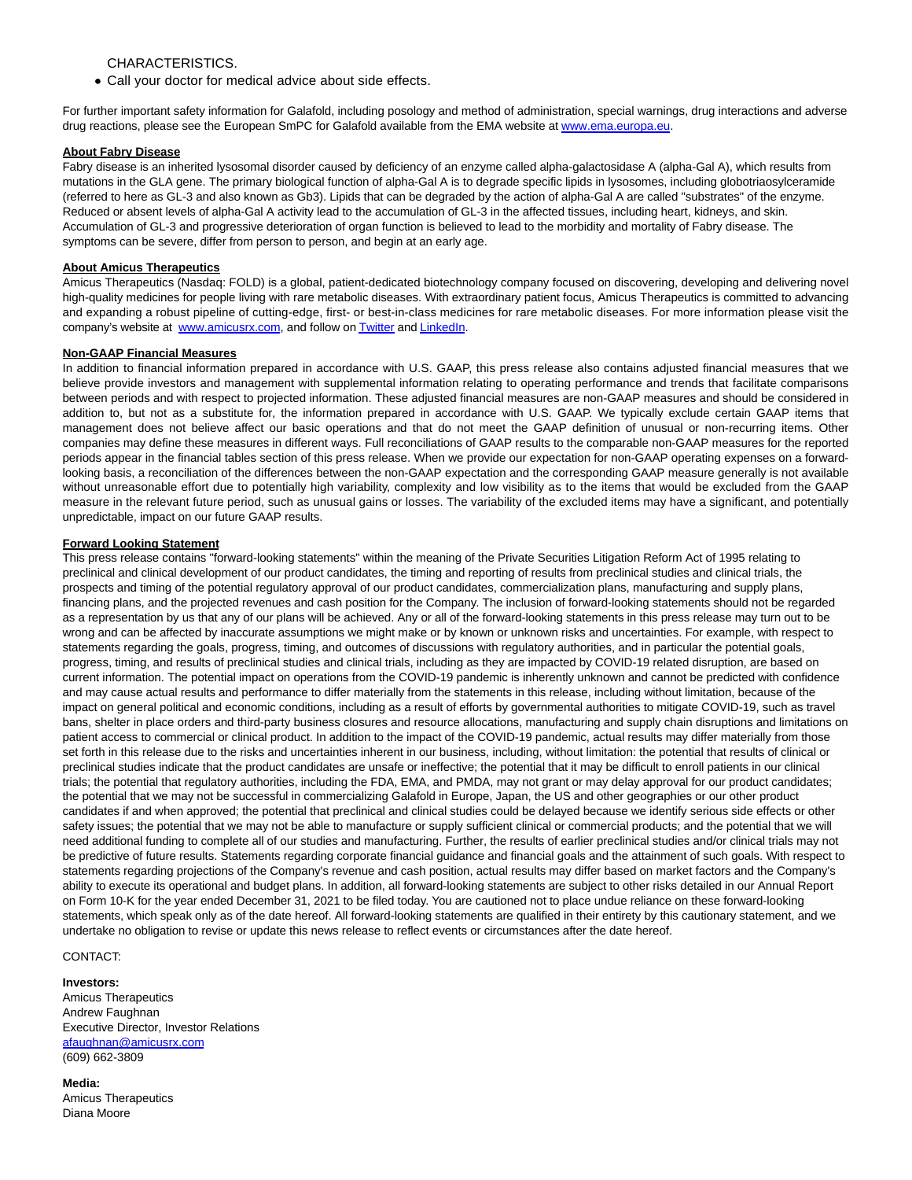# CHARACTERISTICS.

Call your doctor for medical advice about side effects.

For further important safety information for Galafold, including posology and method of administration, special warnings, drug interactions and adverse drug reactions, please see the European SmPC for Galafold available from the EMA website a[t www.ema.europa.eu.](https://www.globenewswire.com/Tracker?data=dW2fKEP2DpCqYDL_ji2Fi6kNJzNDnL9D6q7ozxFqjgKFU1gXIpkwQWaxSHjSxz3DHZdfSoJIm4wnrCJIzqQENCe1Yr8Pwww47JFIx_seygcSb1gKBKOzsPAhDndIcKaAxJRGhuYCZZUvgtvdOSoJUDOO38hEQYcnSI_bgOKBZ5Lq0z8IkyC9EeUorLxPPejwma5g20DM5dK2v13TsW5l9-zgLOYuJhRVtqaKrZO4EZjGyjVtn2deksWtRTELdBiwrLmP6l5EHqFbcocZOldszSiFdkzUXlg2T0twI7GTnkL74io_ra3fxudP21UwlRR0zsEJfg_gSkfFOm4HljWlHg==)

### **About Fabry Disease**

Fabry disease is an inherited lysosomal disorder caused by deficiency of an enzyme called alpha-galactosidase A (alpha-Gal A), which results from mutations in the GLA gene. The primary biological function of alpha-Gal A is to degrade specific lipids in lysosomes, including globotriaosylceramide (referred to here as GL-3 and also known as Gb3). Lipids that can be degraded by the action of alpha-Gal A are called "substrates" of the enzyme. Reduced or absent levels of alpha-Gal A activity lead to the accumulation of GL-3 in the affected tissues, including heart, kidneys, and skin. Accumulation of GL-3 and progressive deterioration of organ function is believed to lead to the morbidity and mortality of Fabry disease. The symptoms can be severe, differ from person to person, and begin at an early age.

## **About Amicus Therapeutics**

Amicus Therapeutics (Nasdaq: FOLD) is a global, patient-dedicated biotechnology company focused on discovering, developing and delivering novel high-quality medicines for people living with rare metabolic diseases. With extraordinary patient focus, Amicus Therapeutics is committed to advancing and expanding a robust pipeline of cutting-edge, first- or best-in-class medicines for rare metabolic diseases. For more information please visit the company's website at [www.amicusrx.com,](https://www.globenewswire.com/Tracker?data=ADATD1-QJ9s7AvENc9X5Javg_L_ftrv6K3-mIF9AqJ9kBBGMKafytXn1PnTfhiIxOBVodW98dWKgarmQz9IiKA==) and follow o[n Twitter a](https://www.globenewswire.com/Tracker?data=G4NUJkhR3NH6fDYo1FVDTixCiV99fn7IYtkbmDST_v-x864UOL35FFsoMOJSDEv-AYYBECoXC9TTce_Y9Re5ug==)n[d LinkedIn.](https://www.globenewswire.com/Tracker?data=jvz0Y4ys7E6bh8HM4FbKVuqt6AKbFSq9CVEOG3TR04H_hoS7ykL83YdimuZfiPEUMM-fvjwyXpsmR3LTBfIAChWVJlyrDJX0IH5rCpBLukgGcLU8yRIiJ6i2vZE90Zn6)

### **Non-GAAP Financial Measures**

In addition to financial information prepared in accordance with U.S. GAAP, this press release also contains adjusted financial measures that we believe provide investors and management with supplemental information relating to operating performance and trends that facilitate comparisons between periods and with respect to projected information. These adjusted financial measures are non-GAAP measures and should be considered in addition to, but not as a substitute for, the information prepared in accordance with U.S. GAAP. We typically exclude certain GAAP items that management does not believe affect our basic operations and that do not meet the GAAP definition of unusual or non-recurring items. Other companies may define these measures in different ways. Full reconciliations of GAAP results to the comparable non-GAAP measures for the reported periods appear in the financial tables section of this press release. When we provide our expectation for non-GAAP operating expenses on a forwardlooking basis, a reconciliation of the differences between the non-GAAP expectation and the corresponding GAAP measure generally is not available without unreasonable effort due to potentially high variability, complexity and low visibility as to the items that would be excluded from the GAAP measure in the relevant future period, such as unusual gains or losses. The variability of the excluded items may have a significant, and potentially unpredictable, impact on our future GAAP results.

### **Forward Looking Statement**

This press release contains "forward-looking statements" within the meaning of the Private Securities Litigation Reform Act of 1995 relating to preclinical and clinical development of our product candidates, the timing and reporting of results from preclinical studies and clinical trials, the prospects and timing of the potential regulatory approval of our product candidates, commercialization plans, manufacturing and supply plans, financing plans, and the projected revenues and cash position for the Company. The inclusion of forward-looking statements should not be regarded as a representation by us that any of our plans will be achieved. Any or all of the forward-looking statements in this press release may turn out to be wrong and can be affected by inaccurate assumptions we might make or by known or unknown risks and uncertainties. For example, with respect to statements regarding the goals, progress, timing, and outcomes of discussions with regulatory authorities, and in particular the potential goals, progress, timing, and results of preclinical studies and clinical trials, including as they are impacted by COVID-19 related disruption, are based on current information. The potential impact on operations from the COVID-19 pandemic is inherently unknown and cannot be predicted with confidence and may cause actual results and performance to differ materially from the statements in this release, including without limitation, because of the impact on general political and economic conditions, including as a result of efforts by governmental authorities to mitigate COVID-19, such as travel bans, shelter in place orders and third-party business closures and resource allocations, manufacturing and supply chain disruptions and limitations on patient access to commercial or clinical product. In addition to the impact of the COVID-19 pandemic, actual results may differ materially from those set forth in this release due to the risks and uncertainties inherent in our business, including, without limitation: the potential that results of clinical or preclinical studies indicate that the product candidates are unsafe or ineffective; the potential that it may be difficult to enroll patients in our clinical trials; the potential that regulatory authorities, including the FDA, EMA, and PMDA, may not grant or may delay approval for our product candidates; the potential that we may not be successful in commercializing Galafold in Europe, Japan, the US and other geographies or our other product candidates if and when approved; the potential that preclinical and clinical studies could be delayed because we identify serious side effects or other safety issues; the potential that we may not be able to manufacture or supply sufficient clinical or commercial products; and the potential that we will need additional funding to complete all of our studies and manufacturing. Further, the results of earlier preclinical studies and/or clinical trials may not be predictive of future results. Statements regarding corporate financial guidance and financial goals and the attainment of such goals. With respect to statements regarding projections of the Company's revenue and cash position, actual results may differ based on market factors and the Company's ability to execute its operational and budget plans. In addition, all forward-looking statements are subject to other risks detailed in our Annual Report on Form 10-K for the year ended December 31, 2021 to be filed today. You are cautioned not to place undue reliance on these forward-looking statements, which speak only as of the date hereof. All forward-looking statements are qualified in their entirety by this cautionary statement, and we undertake no obligation to revise or update this news release to reflect events or circumstances after the date hereof.

# CONTACT:

#### **Investors:**

Amicus Therapeutics Andrew Faughnan Executive Director, Investor Relations [afaughnan@amicusrx.com](https://www.globenewswire.com/Tracker?data=W5zeTrl6sRcVu9w7VdIX_ojr8Agyzw7NbUtHX9dmGlvedef59XMt23sd16TnAVNvpw7n_sEEOJLWBkDC3Is5qxZubPWMZuSRz5dNrPudbRQ=) (609) 662-3809

#### **Media:**

Amicus Therapeutics Diana Moore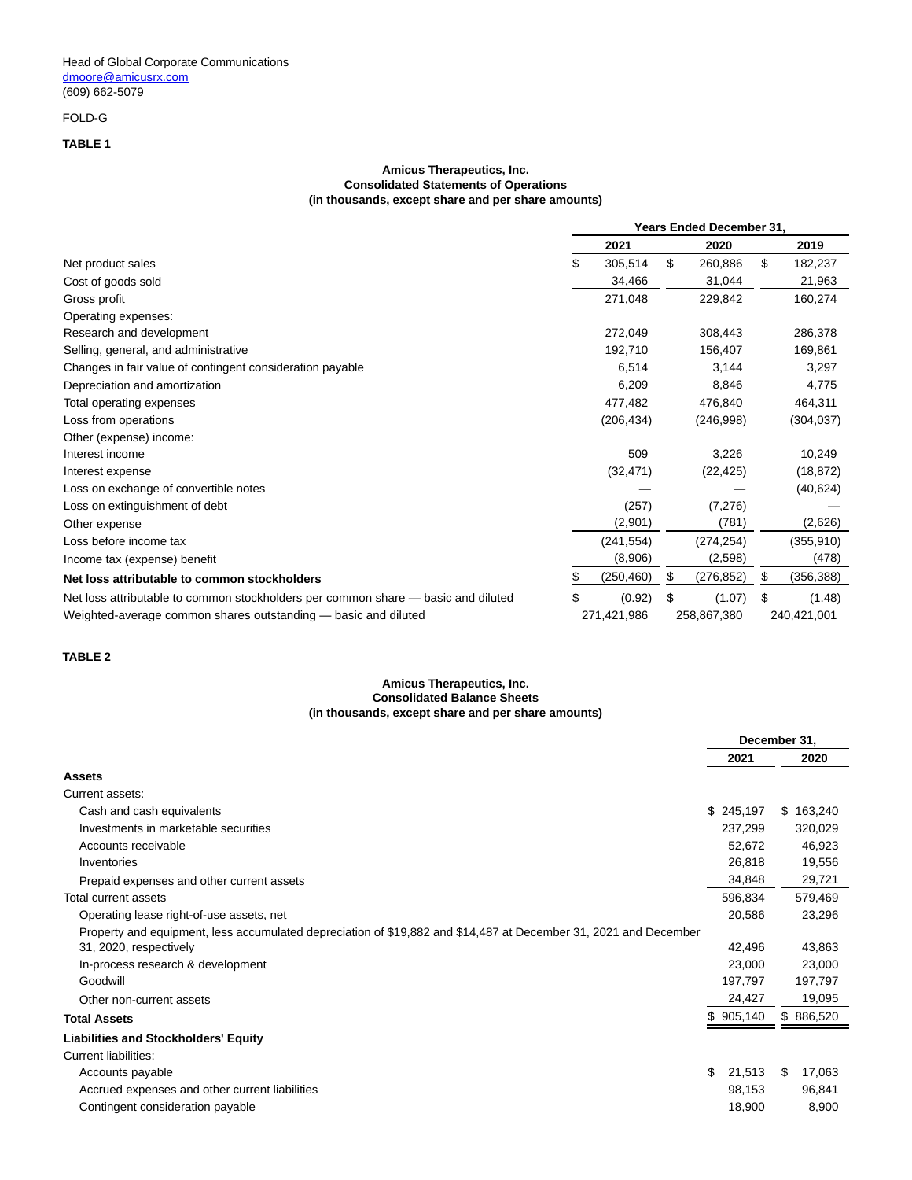# FOLD-G

**TABLE 1**

# **Amicus Therapeutics, Inc. Consolidated Statements of Operations (in thousands, except share and per share amounts)**

|                                                                                   | Years Ended December 31, |            |             |            |             |            |  |
|-----------------------------------------------------------------------------------|--------------------------|------------|-------------|------------|-------------|------------|--|
|                                                                                   |                          | 2021       |             | 2020       |             | 2019       |  |
| Net product sales                                                                 |                          | 305,514    | \$          | 260,886    | \$          | 182,237    |  |
| Cost of goods sold                                                                |                          | 34,466     |             | 31,044     |             | 21,963     |  |
| Gross profit                                                                      |                          | 271,048    |             | 229,842    |             | 160,274    |  |
| Operating expenses:                                                               |                          |            |             |            |             |            |  |
| Research and development                                                          |                          | 272,049    |             | 308,443    |             | 286,378    |  |
| Selling, general, and administrative                                              |                          | 192,710    |             | 156,407    |             | 169,861    |  |
| Changes in fair value of contingent consideration payable                         |                          | 6,514      |             | 3,144      |             | 3,297      |  |
| Depreciation and amortization                                                     |                          | 6,209      |             | 8,846      |             | 4,775      |  |
| Total operating expenses                                                          |                          | 477,482    |             | 476,840    |             | 464,311    |  |
| Loss from operations                                                              |                          | (206, 434) |             | (246,998)  |             | (304, 037) |  |
| Other (expense) income:                                                           |                          |            |             |            |             |            |  |
| Interest income                                                                   |                          | 509        |             | 3,226      |             | 10,249     |  |
| Interest expense                                                                  |                          | (32, 471)  |             | (22, 425)  |             | (18, 872)  |  |
| Loss on exchange of convertible notes                                             |                          |            |             |            |             | (40, 624)  |  |
| Loss on extinguishment of debt                                                    |                          | (257)      |             | (7, 276)   |             |            |  |
| Other expense                                                                     |                          | (2,901)    |             | (781)      |             | (2,626)    |  |
| Loss before income tax                                                            |                          | (241, 554) |             | (274, 254) |             | (355, 910) |  |
| Income tax (expense) benefit                                                      |                          | (8,906)    |             | (2,598)    |             | (478)      |  |
| Net loss attributable to common stockholders                                      |                          | (250, 460) | S           | (276,852)  | \$.         | (356, 388) |  |
| Net loss attributable to common stockholders per common share — basic and diluted |                          | (0.92)     | \$          | (1.07)     | \$          | (1.48)     |  |
| Weighted-average common shares outstanding — basic and diluted                    | 271,421,986              |            | 258,867,380 |            | 240,421,001 |            |  |

# **TABLE 2**

# **Amicus Therapeutics, Inc. Consolidated Balance Sheets (in thousands, except share and per share amounts)**

|                                                                                                                  | December 31, |             |  |
|------------------------------------------------------------------------------------------------------------------|--------------|-------------|--|
|                                                                                                                  | 2021         | 2020        |  |
| <b>Assets</b>                                                                                                    |              |             |  |
| Current assets:                                                                                                  |              |             |  |
| Cash and cash equivalents                                                                                        | \$245,197    | \$163,240   |  |
| Investments in marketable securities                                                                             | 237,299      | 320,029     |  |
| Accounts receivable                                                                                              | 52,672       | 46,923      |  |
| Inventories                                                                                                      | 26,818       | 19,556      |  |
| Prepaid expenses and other current assets                                                                        | 34,848       | 29,721      |  |
| Total current assets                                                                                             | 596,834      | 579,469     |  |
| Operating lease right-of-use assets, net                                                                         | 20,586       | 23,296      |  |
| Property and equipment, less accumulated depreciation of \$19,882 and \$14,487 at December 31, 2021 and December |              |             |  |
| 31, 2020, respectively                                                                                           | 42.496       | 43,863      |  |
| In-process research & development                                                                                | 23,000       | 23,000      |  |
| Goodwill                                                                                                         | 197,797      | 197,797     |  |
| Other non-current assets                                                                                         | 24,427       | 19,095      |  |
| <b>Total Assets</b>                                                                                              | \$905,140    | \$886,520   |  |
| <b>Liabilities and Stockholders' Equity</b>                                                                      |              |             |  |
| Current liabilities:                                                                                             |              |             |  |
| Accounts payable                                                                                                 | \$<br>21,513 | 17,063<br>S |  |
| Accrued expenses and other current liabilities                                                                   | 98,153       | 96,841      |  |
| Contingent consideration payable                                                                                 | 18,900       | 8,900       |  |